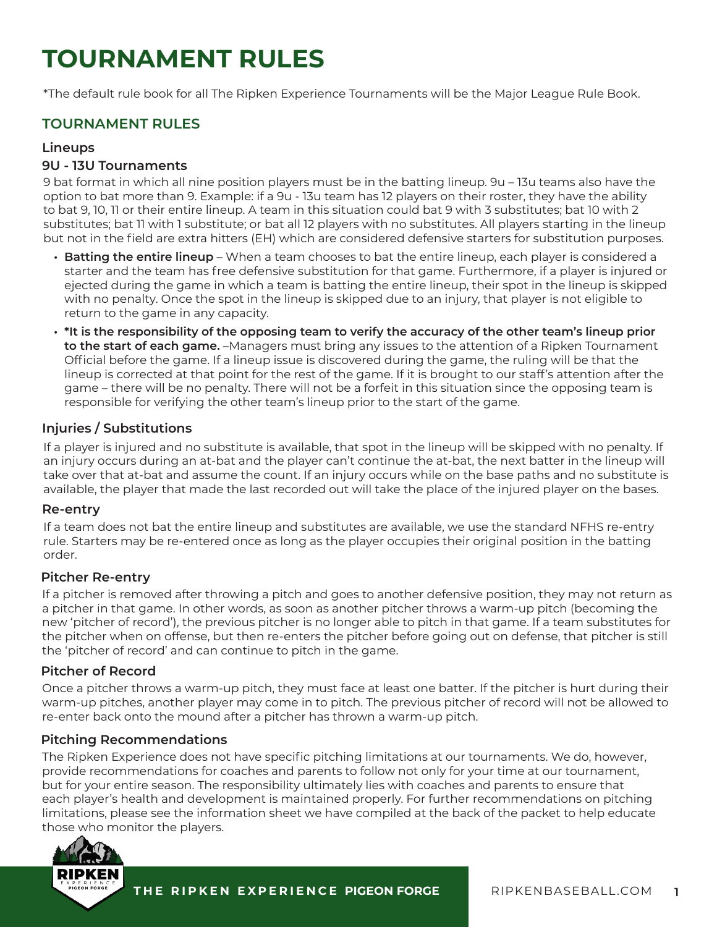# **TOURNAMENT RULES**

\*The default rule book for all The Ripken Experience Tournaments will be the Major League Rule Book.

# **TOURNAMENT RULES**

#### **Lineups**

#### **9U - 13U Tournaments**

9 bat format in which all nine position players must be in the batting lineup. 9u – 13u teams also have the option to bat more than 9. Example: if a 9u - 13u team has 12 players on their roster, they have the ability to bat 9, 10, 11 or their entire lineup. A team in this situation could bat 9 with 3 substitutes; bat 10 with 2 substitutes; bat 11 with 1 substitute; or bat all 12 players with no substitutes. All players starting in the lineup but not in the field are extra hitters (EH) which are considered defensive starters for substitution purposes.

- **• Batting the entire lineup** When a team chooses to bat the entire lineup, each player is considered a starter and the team has free defensive substitution for that game. Furthermore, if a player is injured or ejected during the game in which a team is batting the entire lineup, their spot in the lineup is skipped with no penalty. Once the spot in the lineup is skipped due to an injury, that player is not eligible to return to the game in any capacity.
- **• \*It is the responsibility of the opposing team to verify the accuracy of the other team's lineup prior to the start of each game.** –Managers must bring any issues to the attention of a Ripken Tournament Official before the game. If a lineup issue is discovered during the game, the ruling will be that the lineup is corrected at that point for the rest of the game. If it is brought to our staff's attention after the game – there will be no penalty. There will not be a forfeit in this situation since the opposing team is responsible for verifying the other team's lineup prior to the start of the game.

## **Injuries / Substitutions**

If a player is injured and no substitute is available, that spot in the lineup will be skipped with no penalty. If an injury occurs during an at-bat and the player can't continue the at-bat, the next batter in the lineup will take over that at-bat and assume the count. If an injury occurs while on the base paths and no substitute is available, the player that made the last recorded out will take the place of the injured player on the bases.

#### **Re-entry**

If a team does not bat the entire lineup and substitutes are available, we use the standard NFHS re-entry rule. Starters may be re-entered once as long as the player occupies their original position in the batting order.

#### **Pitcher Re-entry**

If a pitcher is removed after throwing a pitch and goes to another defensive position, they may not return as a pitcher in that game. In other words, as soon as another pitcher throws a warm-up pitch (becoming the new 'pitcher of record'), the previous pitcher is no longer able to pitch in that game. If a team substitutes for the pitcher when on offense, but then re-enters the pitcher before going out on defense, that pitcher is still the 'pitcher of record' and can continue to pitch in the game.

#### **Pitcher of Record**

Once a pitcher throws a warm-up pitch, they must face at least one batter. If the pitcher is hurt during their warm-up pitches, another player may come in to pitch. The previous pitcher of record will not be allowed to re-enter back onto the mound after a pitcher has thrown a warm-up pitch.

#### **Pitching Recommendations**

The Ripken Experience does not have specific pitching limitations at our tournaments. We do, however, provide recommendations for coaches and parents to follow not only for your time at our tournament, but for your entire season. The responsibility ultimately lies with coaches and parents to ensure that each player's health and development is maintained properly. For further recommendations on pitching limitations, please see the information sheet we have compiled at the back of the packet to help educate those who monitor the players.

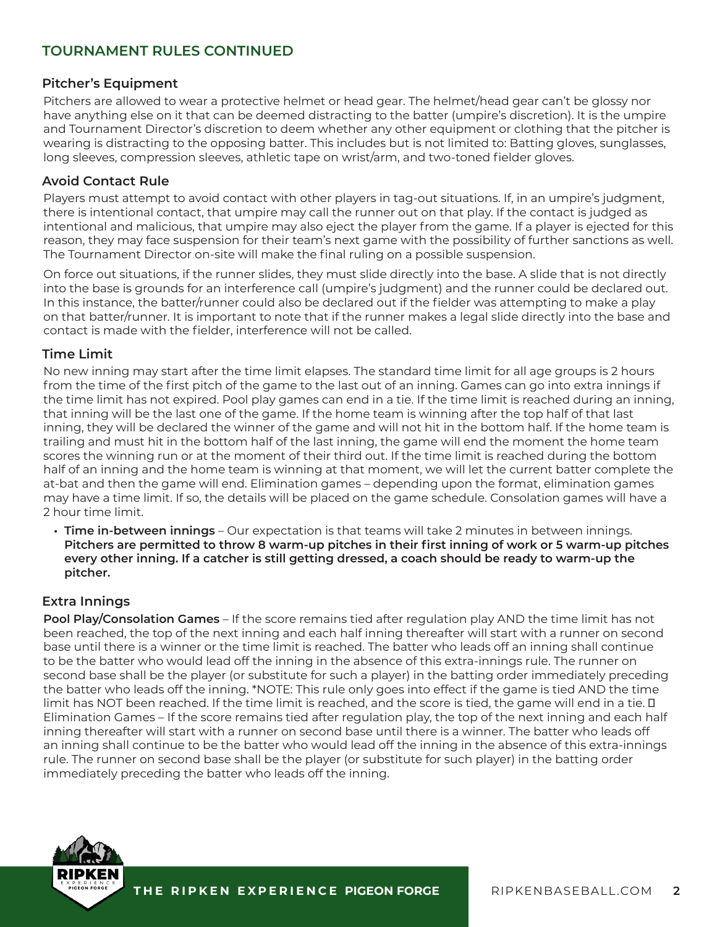# **Pitcher's Equipment**

Pitchers are allowed to wear a protective helmet or head gear. The helmet/head gear can't be glossy nor have anything else on it that can be deemed distracting to the batter (umpire's discretion). It is the umpire and Tournament Director's discretion to deem whether any other equipment or clothing that the pitcher is wearing is distracting to the opposing batter. This includes but is not limited to: Batting gloves, sunglasses, long sleeves, compression sleeves, athletic tape on wrist/arm, and two-toned fielder gloves.

## **Avoid Contact Rule**

Players must attempt to avoid contact with other players in tag-out situations. If, in an umpire's judgment, there is intentional contact, that umpire may call the runner out on that play. If the contact is judged as intentional and malicious, that umpire may also eject the player from the game. If a player is ejected for this reason, they may face suspension for their team's next game with the possibility of further sanctions as well. The Tournament Director on-site will make the final ruling on a possible suspension.

On force out situations, if the runner slides, they must slide directly into the base. A slide that is not directly into the base is grounds for an interference call (umpire's judgment) and the runner could be declared out. In this instance, the batter/runner could also be declared out if the fielder was attempting to make a play on that batter/runner. It is important to note that if the runner makes a legal slide directly into the base and contact is made with the fielder, interference will not be called.

## **Time Limit**

No new inning may start after the time limit elapses. The standard time limit for all age groups is 2 hours from the time of the first pitch of the game to the last out of an inning. Games can go into extra innings if the time limit has not expired. Pool play games can end in a tie. If the time limit is reached during an inning, that inning will be the last one of the game. If the home team is winning after the top half of that last inning, they will be declared the winner of the game and will not hit in the bottom half. If the home team is trailing and must hit in the bottom half of the last inning, the game will end the moment the home team scores the winning run or at the moment of their third out. If the time limit is reached during the bottom half of an inning and the home team is winning at that moment, we will let the current batter complete the at-bat and then the game will end. Elimination games – depending upon the format, elimination games may have a time limit. If so, the details will be placed on the game schedule. Consolation games will have a 2 hour time limit.

**• Time in-between innings** – Our expectation is that teams will take 2 minutes in between innings. **Pitchers are permitted to throw 8 warm-up pitches in their first inning of work or 5 warm-up pitches every other inning. If a catcher is still getting dressed, a coach should be ready to warm-up the pitcher.**

# **Extra Innings**

**Pool Play/Consolation Games** – If the score remains tied after regulation play AND the time limit has not been reached, the top of the next inning and each half inning thereafter will start with a runner on second base until there is a winner or the time limit is reached. The batter who leads off an inning shall continue to be the batter who would lead off the inning in the absence of this extra-innings rule. The runner on second base shall be the player (or substitute for such a player) in the batting order immediately preceding the batter who leads off the inning. \*NOTE: This rule only goes into effect if the game is tied AND the time limit has NOT been reached. If the time limit is reached, and the score is tied, the game will end in a tie. I Elimination Games – If the score remains tied after regulation play, the top of the next inning and each half inning thereafter will start with a runner on second base until there is a winner. The batter who leads off an inning shall continue to be the batter who would lead off the inning in the absence of this extra-innings rule. The runner on second base shall be the player (or substitute for such player) in the batting order immediately preceding the batter who leads off the inning.

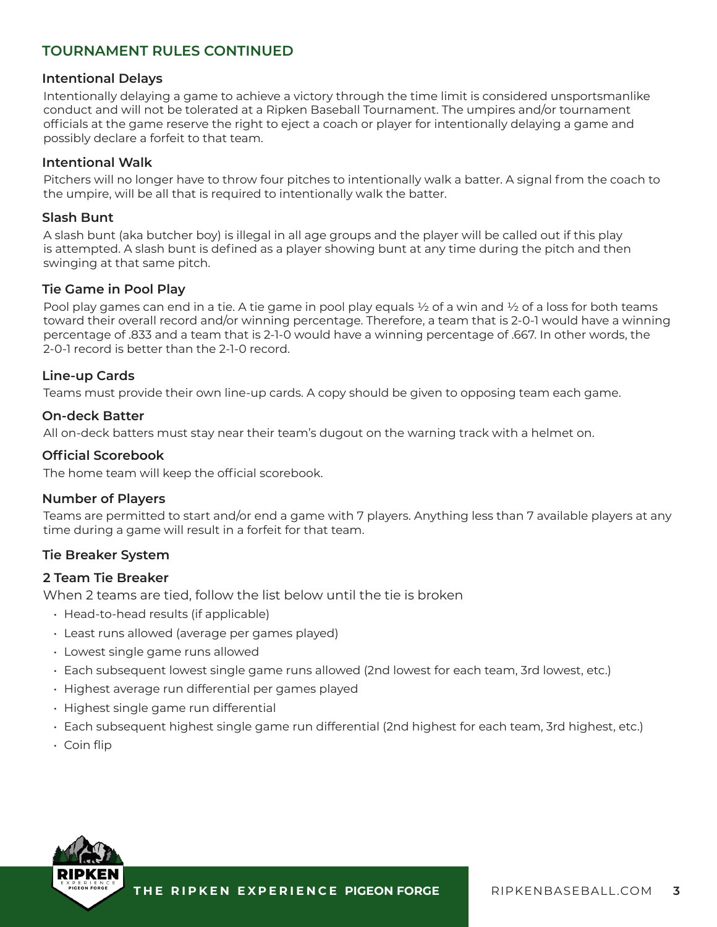#### **Intentional Delays**

Intentionally delaying a game to achieve a victory through the time limit is considered unsportsmanlike conduct and will not be tolerated at a Ripken Baseball Tournament. The umpires and/or tournament officials at the game reserve the right to eject a coach or player for intentionally delaying a game and possibly declare a forfeit to that team.

## **Intentional Walk**

Pitchers will no longer have to throw four pitches to intentionally walk a batter. A signal from the coach to the umpire, will be all that is required to intentionally walk the batter.

#### **Slash Bunt**

A slash bunt (aka butcher boy) is illegal in all age groups and the player will be called out if this play is attempted. A slash bunt is defined as a player showing bunt at any time during the pitch and then swinging at that same pitch.

#### **Tie Game in Pool Play**

Pool play games can end in a tie. A tie game in pool play equals  $\frac{1}{2}$  of a win and  $\frac{1}{2}$  of a loss for both teams toward their overall record and/or winning percentage. Therefore, a team that is 2-0-1 would have a winning percentage of .833 and a team that is 2-1-0 would have a winning percentage of .667. In other words, the 2-0-1 record is better than the 2-1-0 record.

## **Line-up Cards**

Teams must provide their own line-up cards. A copy should be given to opposing team each game.

#### **On-deck Batter**

All on-deck batters must stay near their team's dugout on the warning track with a helmet on.

#### **Official Scorebook**

The home team will keep the official scorebook.

## **Number of Players**

Teams are permitted to start and/or end a game with 7 players. Anything less than 7 available players at any time during a game will result in a forfeit for that team.

#### **Tie Breaker System**

#### **2 Team Tie Breaker**

When 2 teams are tied, follow the list below until the tie is broken

- Head-to-head results (if applicable)
- Least runs allowed (average per games played)
- Lowest single game runs allowed
- Each subsequent lowest single game runs allowed (2nd lowest for each team, 3rd lowest, etc.)
- Highest average run differential per games played
- Highest single game run differential
- Each subsequent highest single game run differential (2nd highest for each team, 3rd highest, etc.)
- Coin flip

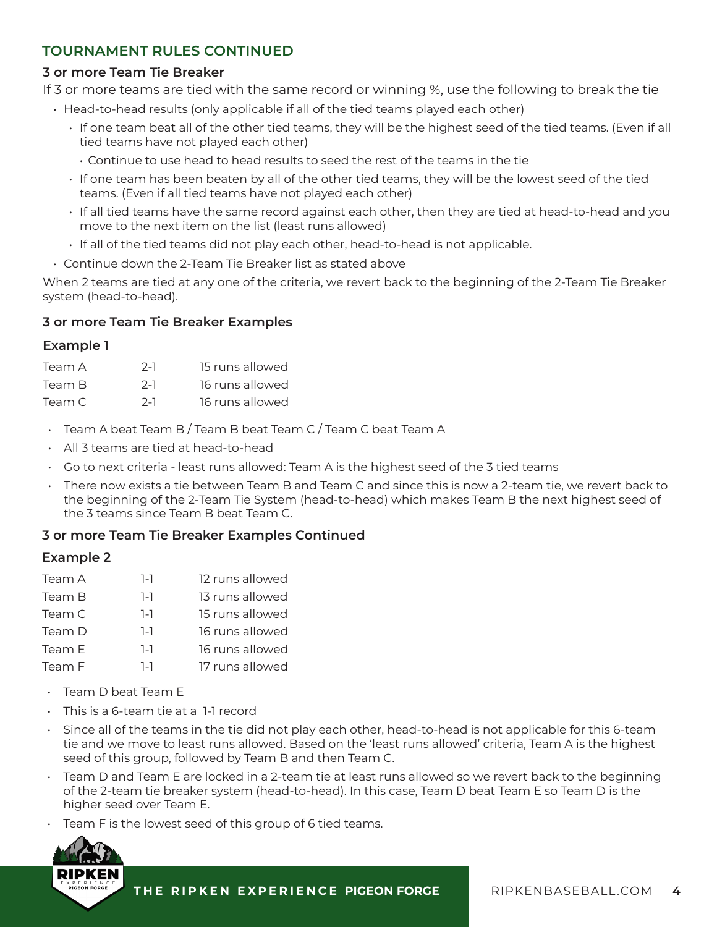# **3 or more Team Tie Breaker**

If 3 or more teams are tied with the same record or winning %, use the following to break the tie

- Head-to-head results (only applicable if all of the tied teams played each other)
	- If one team beat all of the other tied teams, they will be the highest seed of the tied teams. (Even if all tied teams have not played each other)
		- Continue to use head to head results to seed the rest of the teams in the tie
	- If one team has been beaten by all of the other tied teams, they will be the lowest seed of the tied teams. (Even if all tied teams have not played each other)
	- If all tied teams have the same record against each other, then they are tied at head-to-head and you move to the next item on the list (least runs allowed)
	- If all of the tied teams did not play each other, head-to-head is not applicable.
- Continue down the 2-Team Tie Breaker list as stated above

When 2 teams are tied at any one of the criteria, we revert back to the beginning of the 2-Team Tie Breaker system (head-to-head).

## **3 or more Team Tie Breaker Examples**

## **Example 1**

| Team A | $2-1$ | 15 runs allowed |
|--------|-------|-----------------|
| Team B | $2-1$ | 16 runs allowed |
| Team C | $2-1$ | 16 runs allowed |

- Team A beat Team B / Team B beat Team C / Team C beat Team A
- All 3 teams are tied at head-to-head
- $\cdot$  Go to next criteria least runs allowed: Team A is the highest seed of the 3 tied teams
- There now exists a tie between Team B and Team C and since this is now a 2-team tie, we revert back to the beginning of the 2-Team Tie System (head-to-head) which makes Team B the next highest seed of the 3 teams since Team B beat Team C.

#### **3 or more Team Tie Breaker Examples Continued**

#### **Example 2**

| Team A | 1-1     | 12 runs allowed |
|--------|---------|-----------------|
| Team B | 1-1     | 13 runs allowed |
| Team C | 1-1     | 15 runs allowed |
| Team D | 1-1     | 16 runs allowed |
| Team E | $1 - 1$ | 16 runs allowed |
| Team F | 1-1     | 17 runs allowed |
|        |         |                 |

- Team D beat Team E
- This is a 6-team tie at a 1-1 record
- Since all of the teams in the tie did not play each other, head-to-head is not applicable for this 6-team tie and we move to least runs allowed. Based on the 'least runs allowed' criteria, Team A is the highest seed of this group, followed by Team B and then Team C.
- Team D and Team E are locked in a 2-team tie at least runs allowed so we revert back to the beginning of the 2-team tie breaker system (head-to-head). In this case, Team D beat Team E so Team D is the higher seed over Team E.
- Team F is the lowest seed of this group of 6 tied teams.

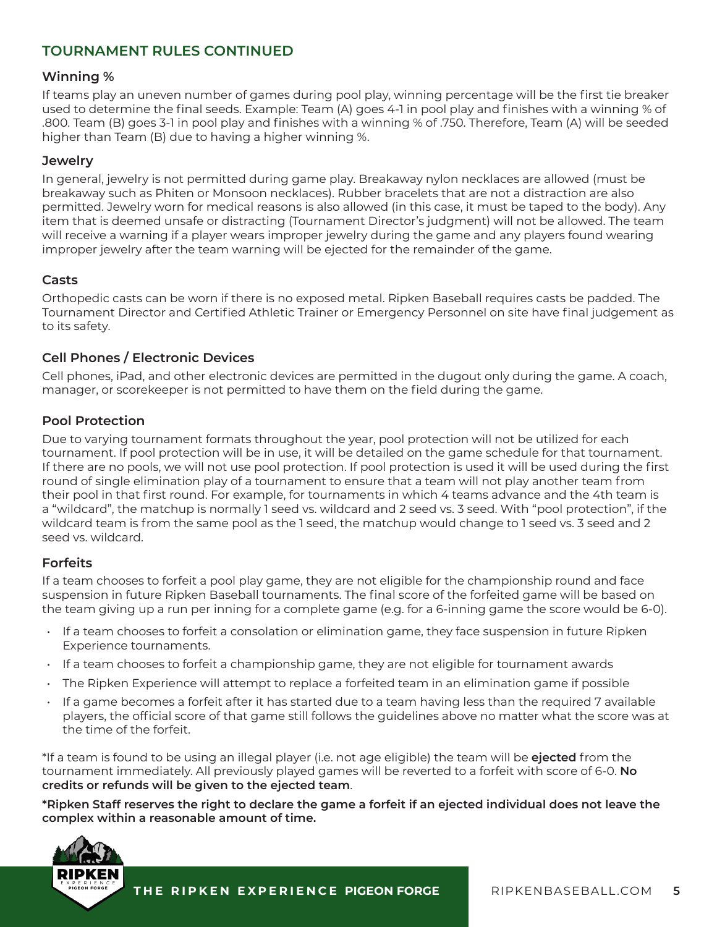# **Winning %**

If teams play an uneven number of games during pool play, winning percentage will be the first tie breaker used to determine the final seeds. Example: Team (A) goes 4-1 in pool play and finishes with a winning % of .800. Team (B) goes 3-1 in pool play and finishes with a winning % of .750. Therefore, Team (A) will be seeded higher than Team (B) due to having a higher winning %.

## **Jewelry**

In general, jewelry is not permitted during game play. Breakaway nylon necklaces are allowed (must be breakaway such as Phiten or Monsoon necklaces). Rubber bracelets that are not a distraction are also permitted. Jewelry worn for medical reasons is also allowed (in this case, it must be taped to the body). Any item that is deemed unsafe or distracting (Tournament Director's judgment) will not be allowed. The team will receive a warning if a player wears improper jewelry during the game and any players found wearing improper jewelry after the team warning will be ejected for the remainder of the game.

#### **Casts**

Orthopedic casts can be worn if there is no exposed metal. Ripken Baseball requires casts be padded. The Tournament Director and Certified Athletic Trainer or Emergency Personnel on site have final judgement as to its safety.

# **Cell Phones / Electronic Devices**

Cell phones, iPad, and other electronic devices are permitted in the dugout only during the game. A coach, manager, or scorekeeper is not permitted to have them on the field during the game.

#### **Pool Protection**

Due to varying tournament formats throughout the year, pool protection will not be utilized for each tournament. If pool protection will be in use, it will be detailed on the game schedule for that tournament. If there are no pools, we will not use pool protection. If pool protection is used it will be used during the first round of single elimination play of a tournament to ensure that a team will not play another team from their pool in that first round. For example, for tournaments in which 4 teams advance and the 4th team is a "wildcard", the matchup is normally 1 seed vs. wildcard and 2 seed vs. 3 seed. With "pool protection", if the wildcard team is from the same pool as the 1 seed, the matchup would change to 1 seed vs. 3 seed and 2 seed vs. wildcard.

#### **Forfeits**

If a team chooses to forfeit a pool play game, they are not eligible for the championship round and face suspension in future Ripken Baseball tournaments. The final score of the forfeited game will be based on the team giving up a run per inning for a complete game (e.g. for a 6-inning game the score would be 6-0).

- If a team chooses to forfeit a consolation or elimination game, they face suspension in future Ripken Experience tournaments.
- If a team chooses to forfeit a championship game, they are not eligible for tournament awards
- The Ripken Experience will attempt to replace a forfeited team in an elimination game if possible
- If a game becomes a forfeit after it has started due to a team having less than the required 7 available players, the official score of that game still follows the guidelines above no matter what the score was at the time of the forfeit.

\*If a team is found to be using an illegal player (i.e. not age eligible) the team will be **ejected** from the tournament immediately. All previously played games will be reverted to a forfeit with score of 6-0. **No credits or refunds will be given to the ejected team**.

**\*Ripken Staff reserves the right to declare the game a forfeit if an ejected individual does not leave the complex within a reasonable amount of time.**

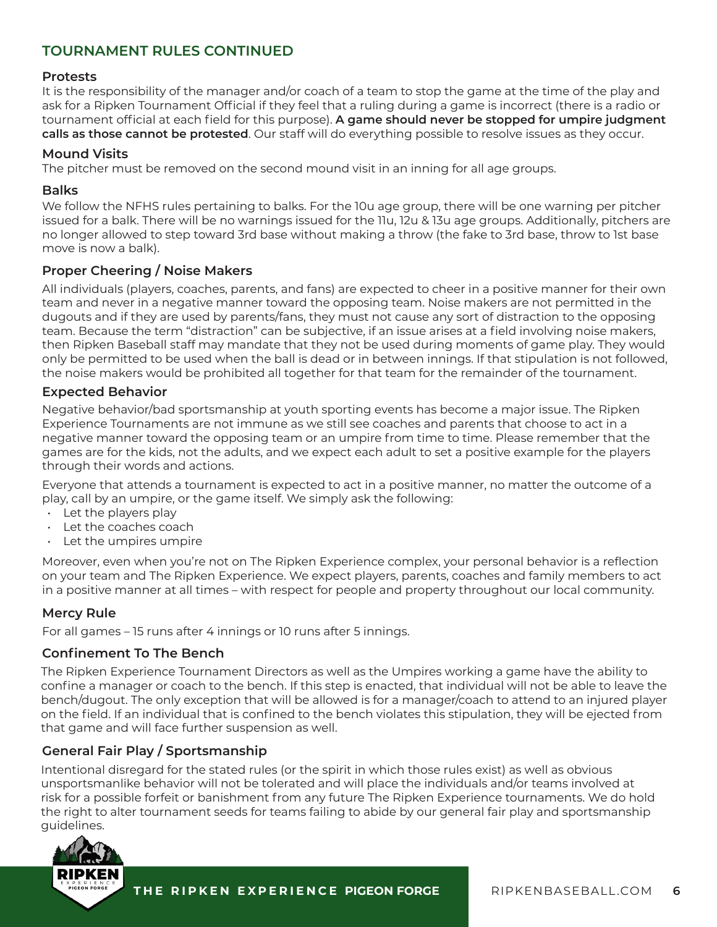## **Protests**

It is the responsibility of the manager and/or coach of a team to stop the game at the time of the play and ask for a Ripken Tournament Official if they feel that a ruling during a game is incorrect (there is a radio or tournament official at each field for this purpose). **A game should never be stopped for umpire judgment calls as those cannot be protested**. Our staff will do everything possible to resolve issues as they occur.

#### **Mound Visits**

The pitcher must be removed on the second mound visit in an inning for all age groups.

## **Balks**

We follow the NFHS rules pertaining to balks. For the 10u age group, there will be one warning per pitcher issued for a balk. There will be no warnings issued for the 11u, 12u & 13u age groups. Additionally, pitchers are no longer allowed to step toward 3rd base without making a throw (the fake to 3rd base, throw to 1st base move is now a balk).

## **Proper Cheering / Noise Makers**

All individuals (players, coaches, parents, and fans) are expected to cheer in a positive manner for their own team and never in a negative manner toward the opposing team. Noise makers are not permitted in the dugouts and if they are used by parents/fans, they must not cause any sort of distraction to the opposing team. Because the term "distraction" can be subjective, if an issue arises at a field involving noise makers, then Ripken Baseball staff may mandate that they not be used during moments of game play. They would only be permitted to be used when the ball is dead or in between innings. If that stipulation is not followed, the noise makers would be prohibited all together for that team for the remainder of the tournament.

## **Expected Behavior**

Negative behavior/bad sportsmanship at youth sporting events has become a major issue. The Ripken Experience Tournaments are not immune as we still see coaches and parents that choose to act in a negative manner toward the opposing team or an umpire from time to time. Please remember that the games are for the kids, not the adults, and we expect each adult to set a positive example for the players through their words and actions.

Everyone that attends a tournament is expected to act in a positive manner, no matter the outcome of a play, call by an umpire, or the game itself. We simply ask the following:

- Let the players play
- Let the coaches coach
- Let the umpires umpire

Moreover, even when you're not on The Ripken Experience complex, your personal behavior is a reflection on your team and The Ripken Experience. We expect players, parents, coaches and family members to act in a positive manner at all times – with respect for people and property throughout our local community.

# **Mercy Rule**

For all games – 15 runs after 4 innings or 10 runs after 5 innings.

#### **Confinement To The Bench**

The Ripken Experience Tournament Directors as well as the Umpires working a game have the ability to confine a manager or coach to the bench. If this step is enacted, that individual will not be able to leave the bench/dugout. The only exception that will be allowed is for a manager/coach to attend to an injured player on the field. If an individual that is confined to the bench violates this stipulation, they will be ejected from that game and will face further suspension as well.

# **General Fair Play / Sportsmanship**

Intentional disregard for the stated rules (or the spirit in which those rules exist) as well as obvious unsportsmanlike behavior will not be tolerated and will place the individuals and/or teams involved at risk for a possible forfeit or banishment from any future The Ripken Experience tournaments. We do hold the right to alter tournament seeds for teams failing to abide by our general fair play and sportsmanship guidelines.

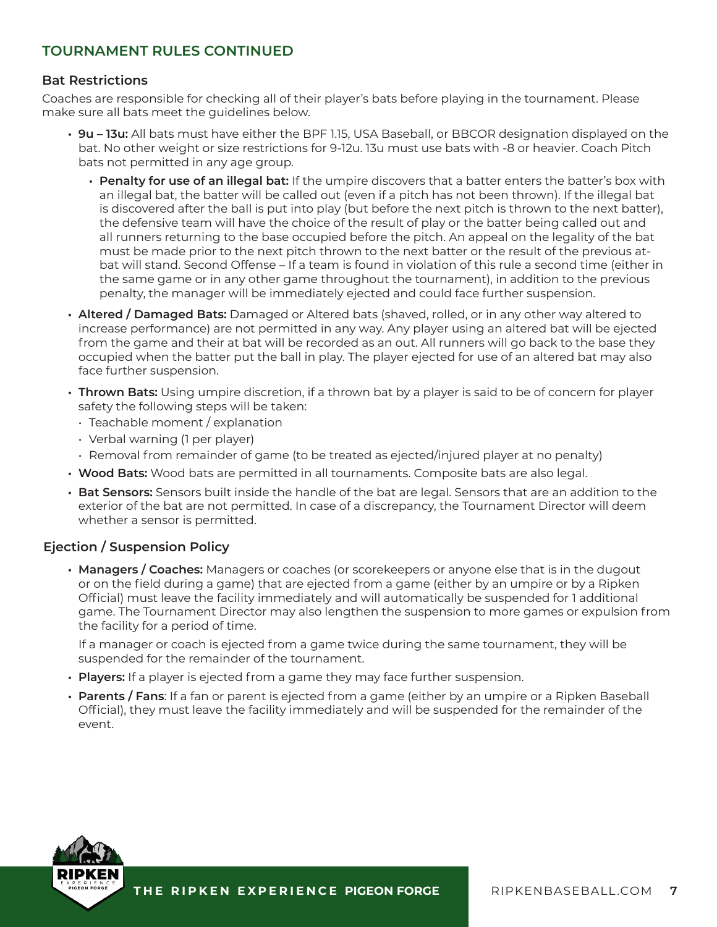## **Bat Restrictions**

Coaches are responsible for checking all of their player's bats before playing in the tournament. Please make sure all bats meet the guidelines below.

- **• 9u 13u:** All bats must have either the BPF 1.15, USA Baseball, or BBCOR designation displayed on the bat. No other weight or size restrictions for 9-12u. 13u must use bats with -8 or heavier. Coach Pitch bats not permitted in any age group.
	- **• Penalty for use of an illegal bat:** If the umpire discovers that a batter enters the batter's box with an illegal bat, the batter will be called out (even if a pitch has not been thrown). If the illegal bat is discovered after the ball is put into play (but before the next pitch is thrown to the next batter), the defensive team will have the choice of the result of play or the batter being called out and all runners returning to the base occupied before the pitch. An appeal on the legality of the bat must be made prior to the next pitch thrown to the next batter or the result of the previous atbat will stand. Second Offense – If a team is found in violation of this rule a second time (either in the same game or in any other game throughout the tournament), in addition to the previous penalty, the manager will be immediately ejected and could face further suspension.
- **• Altered / Damaged Bats:** Damaged or Altered bats (shaved, rolled, or in any other way altered to increase performance) are not permitted in any way. Any player using an altered bat will be ejected from the game and their at bat will be recorded as an out. All runners will go back to the base they occupied when the batter put the ball in play. The player ejected for use of an altered bat may also face further suspension.
- **• Thrown Bats:** Using umpire discretion, if a thrown bat by a player is said to be of concern for player safety the following steps will be taken:
	- Teachable moment / explanation
	- Verbal warning (1 per player)
- Removal from remainder of game (to be treated as ejected/injured player at no penalty)
- **• Wood Bats:** Wood bats are permitted in all tournaments. Composite bats are also legal.
- **• Bat Sensors:** Sensors built inside the handle of the bat are legal. Sensors that are an addition to the exterior of the bat are not permitted. In case of a discrepancy, the Tournament Director will deem whether a sensor is permitted.

# **Ejection / Suspension Policy**

**• Managers / Coaches:** Managers or coaches (or scorekeepers or anyone else that is in the dugout or on the field during a game) that are ejected from a game (either by an umpire or by a Ripken Official) must leave the facility immediately and will automatically be suspended for 1 additional game. The Tournament Director may also lengthen the suspension to more games or expulsion from the facility for a period of time.

If a manager or coach is ejected from a game twice during the same tournament, they will be suspended for the remainder of the tournament.

- **• Players:** If a player is ejected from a game they may face further suspension.
- **• Parents / Fans**: If a fan or parent is ejected from a game (either by an umpire or a Ripken Baseball Official), they must leave the facility immediately and will be suspended for the remainder of the event.

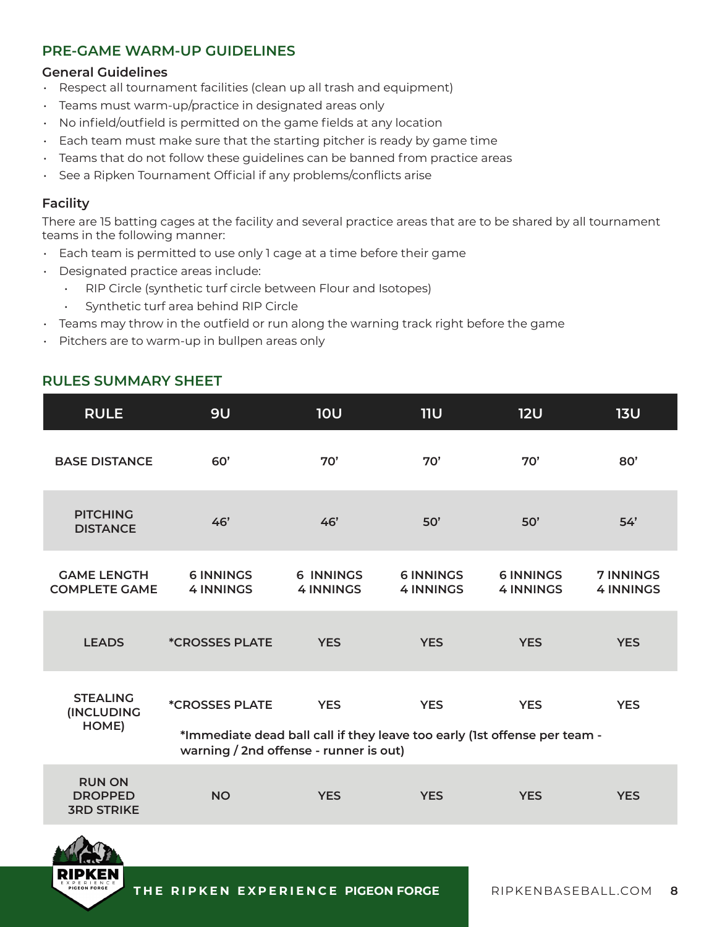# **PRE-GAME WARM-UP GUIDELINES**

## **General Guidelines**

- Respect all tournament facilities (clean up all trash and equipment)
- Teams must warm-up/practice in designated areas only
- No infield/outfield is permitted on the game fields at any location
- Each team must make sure that the starting pitcher is ready by game time
- Teams that do not follow these guidelines can be banned from practice areas
- See a Ripken Tournament Official if any problems/conflicts arise

# **Facility**

There are 15 batting cages at the facility and several practice areas that are to be shared by all tournament teams in the following manner:

- Each team is permitted to use only 1 cage at a time before their game
- Designated practice areas include:
	- RIP Circle (synthetic turf circle between Flour and Isotopes)
	- Synthetic turf area behind RIP Circle
- $\cdot$  Teams may throw in the outfield or run along the warning track right before the game
- Pitchers are to warm-up in bullpen areas only

# **RULES SUMMARY SHEET**

| <b>RULE</b>                                          | 9U                                                                                                                                                  | <b>10U</b>                           | <b>11U</b>                           | <b>12U</b>                           | 13U                                  |
|------------------------------------------------------|-----------------------------------------------------------------------------------------------------------------------------------------------------|--------------------------------------|--------------------------------------|--------------------------------------|--------------------------------------|
| <b>BASE DISTANCE</b>                                 | 60'                                                                                                                                                 | 70'                                  | 70'                                  | 70'                                  | 80'                                  |
| <b>PITCHING</b><br><b>DISTANCE</b>                   | 46'                                                                                                                                                 | 46'                                  | 50'                                  | 50'                                  | 54'                                  |
| <b>GAME LENGTH</b><br><b>COMPLETE GAME</b>           | <b>6 INNINGS</b><br><b>4 INNINGS</b>                                                                                                                | <b>6 INNINGS</b><br><b>4 INNINGS</b> | <b>6 INNINGS</b><br><b>4 INNINGS</b> | <b>6 INNINGS</b><br><b>4 INNINGS</b> | <b>7 INNINGS</b><br><b>4 INNINGS</b> |
| <b>LEADS</b>                                         | <i><b>*CROSSES PLATE</b></i>                                                                                                                        | <b>YES</b>                           | <b>YES</b>                           | <b>YES</b>                           | <b>YES</b>                           |
| <b>STEALING</b><br><b>INCLUDING</b><br>HOME)         | <i><b>*CROSSES PLATE</b></i><br>*Immediate dead ball call if they leave too early (1st offense per team -<br>warning / 2nd offense - runner is out) | <b>YES</b>                           | <b>YES</b>                           | <b>YES</b>                           | <b>YES</b>                           |
| <b>RUN ON</b><br><b>DROPPED</b><br><b>3RD STRIKE</b> | <b>NO</b>                                                                                                                                           | <b>YES</b>                           | <b>YES</b>                           | <b>YES</b>                           | <b>YES</b>                           |
| $\sqrt{2}$                                           |                                                                                                                                                     |                                      |                                      |                                      |                                      |

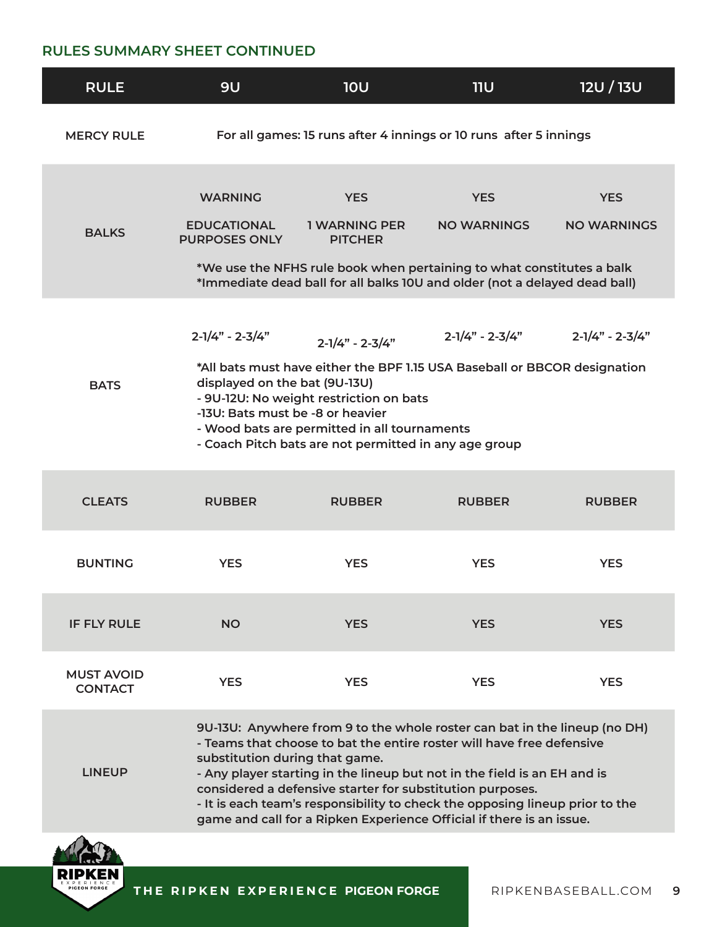# **RULES SUMMARY SHEET CONTINUED**

| <b>RULE</b>                         | <b>9U</b>                                                                                                                                                                                                                                                                                                                                                                                              | <b>10U</b>                                                | 11U                                                                                                                                                                                                                                                                                                                                                                                    | <b>12U/13U</b>                   |  |  |
|-------------------------------------|--------------------------------------------------------------------------------------------------------------------------------------------------------------------------------------------------------------------------------------------------------------------------------------------------------------------------------------------------------------------------------------------------------|-----------------------------------------------------------|----------------------------------------------------------------------------------------------------------------------------------------------------------------------------------------------------------------------------------------------------------------------------------------------------------------------------------------------------------------------------------------|----------------------------------|--|--|
| <b>MERCY RULE</b>                   | For all games: 15 runs after 4 innings or 10 runs after 5 innings                                                                                                                                                                                                                                                                                                                                      |                                                           |                                                                                                                                                                                                                                                                                                                                                                                        |                                  |  |  |
| <b>BALKS</b>                        | <b>WARNING</b><br><b>EDUCATIONAL</b><br><b>PURPOSES ONLY</b>                                                                                                                                                                                                                                                                                                                                           | <b>YES</b><br><b>1 WARNING PER</b><br><b>PITCHER</b>      | <b>YES</b><br><b>NO WARNINGS</b><br>*We use the NFHS rule book when pertaining to what constitutes a balk<br>*Immediate dead ball for all balks 10U and older (not a delayed dead ball)                                                                                                                                                                                                | <b>YES</b><br><b>NO WARNINGS</b> |  |  |
| <b>BATS</b>                         | $2 - 1/4" - 2 - 3/4"$<br>$2 - 1/4" - 2 - 3/4"$<br>$2 - 1/4" - 2 - 3/4"$<br>$2 - 1/4" - 2 - 3/4"$<br>*All bats must have either the BPF 1.15 USA Baseball or BBCOR designation<br>displayed on the bat (9U-13U)<br>- 9U-12U: No weight restriction on bats<br>-13U: Bats must be -8 or heavier<br>- Wood bats are permitted in all tournaments<br>- Coach Pitch bats are not permitted in any age group |                                                           |                                                                                                                                                                                                                                                                                                                                                                                        |                                  |  |  |
| <b>CLEATS</b>                       | <b>RUBBER</b>                                                                                                                                                                                                                                                                                                                                                                                          | <b>RUBBER</b>                                             | <b>RUBBER</b>                                                                                                                                                                                                                                                                                                                                                                          | <b>RUBBER</b>                    |  |  |
| <b>BUNTING</b>                      | <b>YES</b>                                                                                                                                                                                                                                                                                                                                                                                             | <b>YES</b>                                                | <b>YES</b>                                                                                                                                                                                                                                                                                                                                                                             | <b>YES</b>                       |  |  |
| <b>IF FLY RULE</b>                  | <b>NO</b>                                                                                                                                                                                                                                                                                                                                                                                              | <b>YES</b>                                                | <b>YES</b>                                                                                                                                                                                                                                                                                                                                                                             | <b>YES</b>                       |  |  |
| <b>MUST AVOID</b><br><b>CONTACT</b> | <b>YES</b>                                                                                                                                                                                                                                                                                                                                                                                             | <b>YES</b>                                                | <b>YES</b>                                                                                                                                                                                                                                                                                                                                                                             | <b>YES</b>                       |  |  |
| <b>LINEUP</b>                       | substitution during that game.                                                                                                                                                                                                                                                                                                                                                                         | considered a defensive starter for substitution purposes. | 9U-13U: Anywhere from 9 to the whole roster can bat in the lineup (no DH)<br>- Teams that choose to bat the entire roster will have free defensive<br>- Any player starting in the lineup but not in the field is an EH and is<br>- It is each team's responsibility to check the opposing lineup prior to the<br>game and call for a Ripken Experience Official if there is an issue. |                                  |  |  |



**THE RIPKEN EXPERIENCE PIGEON FORGE**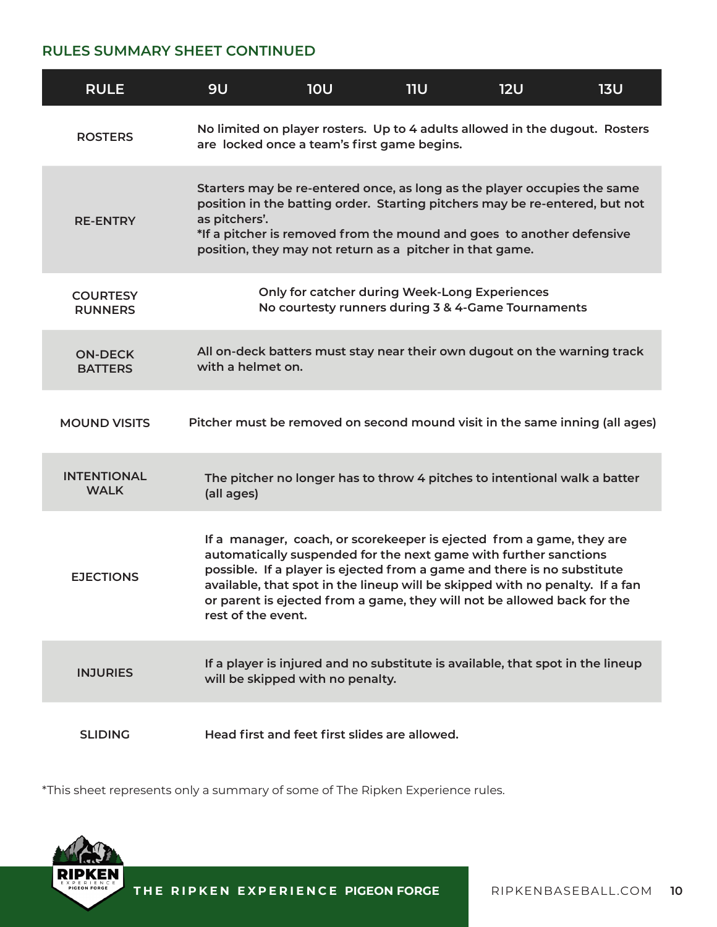# **RULES SUMMARY SHEET CONTINUED**

| <b>RULE</b>                       | <b>9U</b>          | <b>10U</b>                                                                                                                                                                                                                                                                                                                                                                     | <b>11U</b> | <b>12U</b> | <b>13U</b> |
|-----------------------------------|--------------------|--------------------------------------------------------------------------------------------------------------------------------------------------------------------------------------------------------------------------------------------------------------------------------------------------------------------------------------------------------------------------------|------------|------------|------------|
| <b>ROSTERS</b>                    |                    | No limited on player rosters. Up to 4 adults allowed in the dugout. Rosters<br>are locked once a team's first game begins.                                                                                                                                                                                                                                                     |            |            |            |
| <b>RE-ENTRY</b>                   | as pitchers'.      | Starters may be re-entered once, as long as the player occupies the same<br>position in the batting order. Starting pitchers may be re-entered, but not<br>*If a pitcher is removed from the mound and goes to another defensive<br>position, they may not return as a pitcher in that game.                                                                                   |            |            |            |
| <b>COURTESY</b><br><b>RUNNERS</b> |                    | Only for catcher during Week-Long Experiences<br>No courtesty runners during 3 & 4-Game Tournaments                                                                                                                                                                                                                                                                            |            |            |            |
| <b>ON-DECK</b><br><b>BATTERS</b>  | with a helmet on.  | All on-deck batters must stay near their own dugout on the warning track                                                                                                                                                                                                                                                                                                       |            |            |            |
| <b>MOUND VISITS</b>               |                    | Pitcher must be removed on second mound visit in the same inning (all ages)                                                                                                                                                                                                                                                                                                    |            |            |            |
| <b>INTENTIONAL</b><br><b>WALK</b> | (all ages)         | The pitcher no longer has to throw 4 pitches to intentional walk a batter                                                                                                                                                                                                                                                                                                      |            |            |            |
| <b>EJECTIONS</b>                  | rest of the event. | If a manager, coach, or scorekeeper is ejected from a game, they are<br>automatically suspended for the next game with further sanctions<br>possible. If a player is ejected from a game and there is no substitute<br>available, that spot in the lineup will be skipped with no penalty. If a fan<br>or parent is ejected from a game, they will not be allowed back for the |            |            |            |
| <b>INJURIES</b>                   |                    | If a player is injured and no substitute is available, that spot in the lineup<br>will be skipped with no penalty.                                                                                                                                                                                                                                                             |            |            |            |
| <b>SLIDING</b>                    |                    | Head first and feet first slides are allowed.                                                                                                                                                                                                                                                                                                                                  |            |            |            |

\*This sheet represents only a summary of some of The Ripken Experience rules.

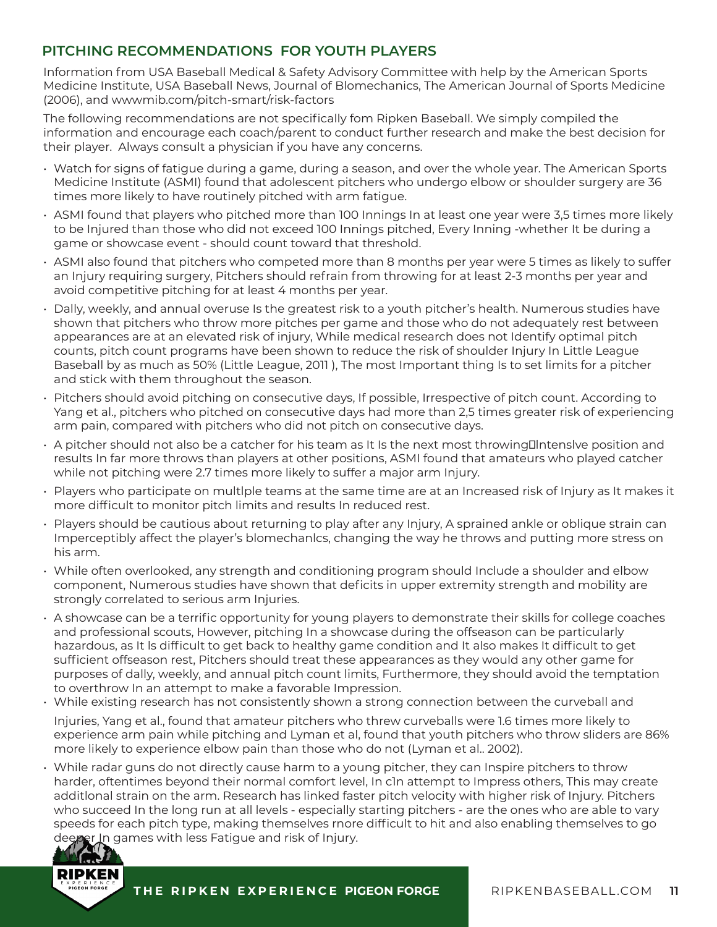# **PITCHING RECOMMENDATIONS FOR YOUTH PLAYERS**

Information from USA Baseball Medical & Safety Advisory Committee with help by the American Sports Medicine Institute, USA Baseball News, Journal of Blomechanics, The American Journal of Sports Medicine (2006), and wwwmib.com/pitch-smart/risk-factors

The following recommendations are not specifically fom Ripken Baseball. We simply compiled the information and encourage each coach/parent to conduct further research and make the best decision for their player. Always consult a physician if you have any concerns.

- Watch for signs of fatigue during a game, during a season, and over the whole year. The American Sports Medicine Institute (ASMI) found that adolescent pitchers who undergo elbow or shoulder surgery are 36 times more likely to have routinely pitched with arm fatigue.
- ASMI found that players who pitched more than 100 Innings In at least one year were 3,5 times more likely to be Injured than those who did not exceed 100 Innings pitched, Every Inning -whether It be during a game or showcase event - should count toward that threshold.
- ASMI also found that pitchers who competed more than 8 months per year were 5 times as likely to suffer an Injury requiring surgery, Pitchers should refrain from throwing for at least 2-3 months per year and avoid competitive pitching for at least 4 months per year.
- Dally, weekly, and annual overuse Is the greatest risk to a youth pitcher's health. Numerous studies have shown that pitchers who throw more pitches per game and those who do not adequately rest between appearances are at an elevated risk of injury, While medical research does not Identify optimal pitch counts, pitch count programs have been shown to reduce the risk of shoulder Injury In Little League Baseball by as much as 50% (Little League, 2011 ), The most Important thing Is to set limits for a pitcher and stick with them throughout the season.
- Pitchers should avoid pitching on consecutive days, If possible, Irrespective of pitch count. According to Yang et al., pitchers who pitched on consecutive days had more than 2,5 times greater risk of experiencing arm pain, compared with pitchers who did not pitch on consecutive days.
- $\cdot$  A pitcher should not also be a catcher for his team as It Is the next most throwing Intensive position and results In far more throws than players at other positions, ASMI found that amateurs who played catcher while not pitching were 2.7 times more likely to suffer a major arm Injury.
- Players who participate on multlple teams at the same time are at an Increased risk of Injury as It makes it more difficult to monitor pitch limits and results In reduced rest.
- Players should be cautious about returning to play after any Injury, A sprained ankle or oblique strain can Imperceptibly affect the player's blomechanlcs, changing the way he throws and putting more stress on his arm.
- While often overlooked, any strength and conditioning program should Include a shoulder and elbow component, Numerous studies have shown that deficits in upper extremity strength and mobility are strongly correlated to serious arm Injuries.
- A showcase can be a terrific opportunity for young players to demonstrate their skills for college coaches and professional scouts, However, pitching In a showcase during the offseason can be particularly hazardous, as It ls difficult to get back to healthy game condition and It also makes It difficult to get sufficient offseason rest, Pitchers should treat these appearances as they would any other game for purposes of dally, weekly, and annual pitch count limits, Furthermore, they should avoid the temptation to overthrow In an attempt to make a favorable Impression.
- While existing research has not consistently shown a strong connection between the curveball and Injuries, Yang et al., found that amateur pitchers who threw curveballs were 1.6 times more likely to experience arm pain while pitching and Lyman et al, found that youth pitchers who throw sliders are 86% more likely to experience elbow pain than those who do not (Lyman et al.. 2002).
- While radar guns do not directly cause harm to a young pitcher, they can Inspire pitchers to throw harder, oftentimes beyond their normal comfort level, In c1n attempt to Impress others, This may create additlonal strain on the arm. Research has linked faster pitch velocity with higher risk of Injury. Pitchers who succeed In the long run at all levels - especially starting pitchers - are the ones who are able to vary speeds for each pitch type, making themselves rnore difficult to hit and also enabling themselves to go deeper In games with less Fatigue and risk of Injury.